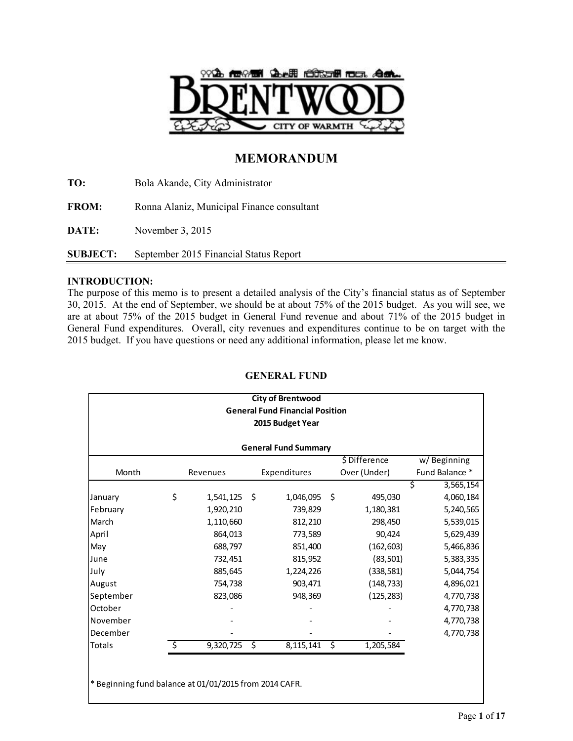

# **MEMORANDUM**

**TO:** Bola Akande, City Administrator **FROM:** Ronna Alaniz, Municipal Finance consultant **DATE:** November 3, 2015 **SUBJECT:** September 2015 Financial Status Report

# **INTRODUCTION:**

The purpose of this memo is to present a detailed analysis of the City's financial status as of September 30, 2015. At the end of September, we should be at about 75% of the 2015 budget. As you will see, we are at about 75% of the 2015 budget in General Fund revenue and about 71% of the 2015 budget in General Fund expenditures. Overall, city revenues and expenditures continue to be on target with the 2015 budget. If you have questions or need any additional information, please let me know.

# \$ Difference w/ Beginning Month Revenues Expenditures Over (Under) Fund Balance \*  $$3,565,154$ January \$ 1,541,125 \$ 1,046,095 \$ 495,030 4,060,184 February 1,920,210 739,829 1,180,381 5,240,565 March 1,110,660 812,210 298,450 5,539,015 April 864,013 773,589 90,424 5,629,439 May 688,797 851,400 (162,603) 5,466,836 June 732,451 815,952 (83,501) 5,383,335 July 885,645 1,224,226 (338,581) 5,044,754 August 754,738 903,471 (148,733) 4,896,021 September 823,086 948,369 (125,283) 4,770,738 October - - - 4,770,738 November 4,770,738 December - - - 4,770,738 Totals  $\frac{}{5}$  9,320,725 \$ 8,115,141 \$ 1,205,584 **General Fund Summary City of Brentwood General Fund Financial Position 2015 Budget Year**

# **GENERAL FUND**

\* Beginning fund balance at 01/01/2015 from 2014 CAFR.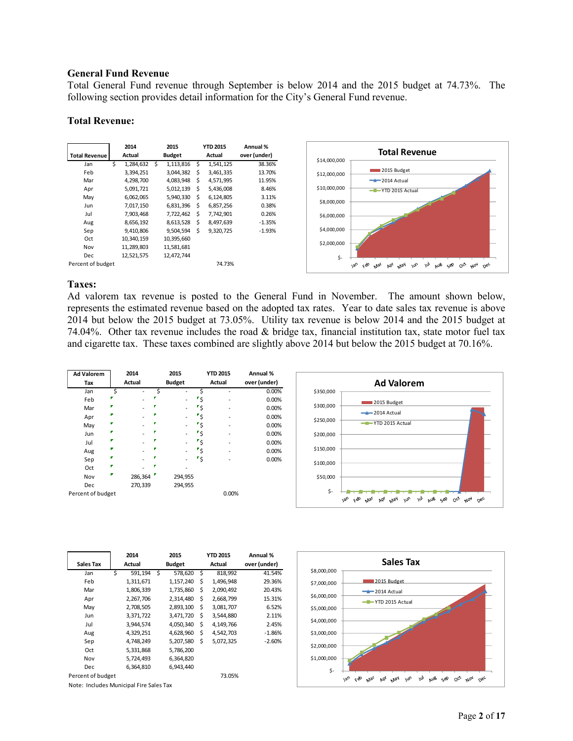### **General Fund Revenue**

Total General Fund revenue through September is below 2014 and the 2015 budget at 74.73%. The following section provides detail information for the City's General Fund revenue.

### **Total Revenue:**



# **Taxes:**

Ad valorem tax revenue is posted to the General Fund in November. The amount shown below, represents the estimated revenue based on the adopted tax rates. Year to date sales tax revenue is above 2014 but below the 2015 budget at 73.05%. Utility tax revenue is below 2014 and the 2015 budget at 74.04%. Other tax revenue includes the road & bridge tax, financial institution tax, state motor fuel tax and cigarette tax. These taxes combined are slightly above 2014 but below the 2015 budget at 70.16%.

| <b>Ad Valorem</b> |   | 2014<br><b>Actual</b> | 2015<br><b>Budget</b> |     | <b>YTD 2015</b><br><b>Actual</b> | Annual %     |
|-------------------|---|-----------------------|-----------------------|-----|----------------------------------|--------------|
| Tax               |   |                       |                       |     |                                  | over (under) |
| Jan               | Ś |                       |                       |     |                                  | 0.00%        |
| Feb               |   |                       |                       | 'S  |                                  | 0.00%        |
| Mar               |   |                       |                       | ۶ ' |                                  | 0.00%        |
| Apr               |   |                       |                       | ۳\$ |                                  | 0.00%        |
| May               |   |                       |                       | ۶'  |                                  | 0.00%        |
| Jun               |   |                       |                       | ′\$ |                                  | 0.00%        |
| Jul               |   |                       |                       | ۴\$ |                                  | 0.00%        |
| Aug               |   |                       |                       | م∙  |                                  | 0.00%        |
| Sep               |   |                       |                       | ۳Ś  |                                  | 0.00%        |
| Oct               |   |                       |                       |     |                                  |              |
| Nov               |   | 286,364               | 294,955               |     |                                  |              |
| <b>Dec</b>        |   | 270,339               | 294,955               |     |                                  |              |
| Percent of budget |   |                       |                       |     | 0.00%                            |              |



| Sales Tax         |   | 2014<br>Actual |   | 2015<br><b>Budget</b> |    | <b>YTD 2015</b><br>Actual | Annual %<br>over (under) |
|-------------------|---|----------------|---|-----------------------|----|---------------------------|--------------------------|
| Jan               | Ś | 591,194        | Ś | 578,620               | \$ | 818,992                   | 41.54%                   |
| Feb               |   | 1,311,671      |   | 1,157,240             | \$ | 1,496,948                 | 29.36%                   |
| Mar               |   | 1,806,339      |   | 1,735,860             | Ś  | 2,090,492                 | 20.43%                   |
| Apr               |   | 2,267,706      |   | 2,314,480             | \$ | 2,668,799                 | 15.31%                   |
| May               |   | 2,708,505      |   | 2,893,100             | \$ | 3,081,707                 | 6.52%                    |
| Jun               |   | 3,371,722      |   | 3,471,720             | \$ | 3,544,880                 | 2.11%                    |
| Jul               |   | 3,944,574      |   | 4,050,340             | \$ | 4,149,766                 | 2.45%                    |
| Aug               |   | 4,329,251      |   | 4,628,960             | \$ | 4,542,703                 | $-1.86%$                 |
| Sep               |   | 4,748,249      |   | 5,207,580             | \$ | 5,072,325                 | $-2.60%$                 |
| Oct               |   | 5,331,868      |   | 5,786,200             |    |                           |                          |
| Nov               |   | 5,724,493      |   | 6,364,820             |    |                           |                          |
| Dec               |   | 6.364.810      |   | 6.943.440             |    |                           |                          |
| Percent of budget |   |                |   |                       |    | 73.05%                    |                          |

Note: Includes Municipal Fire Sales Tax

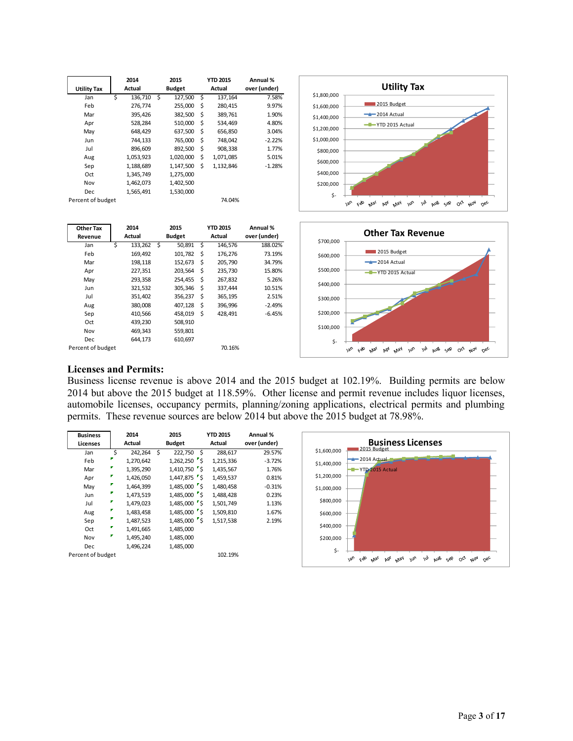|                    |        | 2014      |               | 2015      |    | <b>YTD 2015</b> | Annual %     |
|--------------------|--------|-----------|---------------|-----------|----|-----------------|--------------|
| <b>Utility Tax</b> | Actual |           | <b>Budget</b> |           |    | Actual          | over (under) |
| Jan                | Ś      | 136,710   | Ś             | 127,500   | Ś  | 137,164         | 7.58%        |
| Feb                |        | 276,774   |               | 255,000   | \$ | 280,415         | 9.97%        |
| Mar                |        | 395,426   |               | 382,500   | Ś  | 389,761         | 1.90%        |
| Apr                |        | 528,284   |               | 510,000   | \$ | 534,469         | 4.80%        |
| May                |        | 648,429   |               | 637,500   | Ś  | 656,850         | 3.04%        |
| Jun                |        | 744,133   |               | 765,000   | \$ | 748,042         | $-2.22%$     |
| Jul                |        | 896,609   |               | 892,500   | \$ | 908,338         | 1.77%        |
| Aug                |        | 1,053,923 |               | 1,020,000 | \$ | 1,071,085       | 5.01%        |
| Sep                |        | 1,188,689 |               | 1,147,500 | \$ | 1,132,846       | $-1.28%$     |
| Oct                |        | 1,345,749 |               | 1,275,000 |    |                 |              |
| Nov                |        | 1,462,073 |               | 1,402,500 |    |                 |              |
| Dec                |        | 1,565,491 |               | 1,530,000 |    |                 |              |
| Percent of budget  |        |           |               |           |    | 74.04%          |              |



| <b>Other Tax</b>  |   | 2014    | 2015 |               |     | <b>YTD 2015</b> | Annual %     |
|-------------------|---|---------|------|---------------|-----|-----------------|--------------|
| Revenue           |   | Actual  |      | <b>Budget</b> |     | Actual          | over (under) |
| Jan               | Ś | 133,262 | Ś    | 50,891        | -\$ | 146,576         | 188.02%      |
| Feb               |   | 169,492 |      | 101,782       | \$  | 176,276         | 73.19%       |
| Mar               |   | 198,118 |      | 152,673       | \$  | 205,790         | 34.79%       |
| Apr               |   | 227,351 |      | 203,564       | \$  | 235,730         | 15.80%       |
| May               |   | 293,358 |      | 254,455       | \$  | 267,832         | 5.26%        |
| Jun               |   | 321,532 |      | 305,346       | \$  | 337,444         | 10.51%       |
| Jul               |   | 351,402 |      | 356,237       | \$  | 365,195         | 2.51%        |
| Aug               |   | 380,008 |      | 407,128       | \$  | 396,996         | $-2.49%$     |
| Sep               |   | 410,566 |      | 458,019       | Ś   | 428,491         | $-6.45%$     |
| Oct               |   | 439,230 |      | 508,910       |     |                 |              |
| Nov               |   | 469,343 |      | 559,801       |     |                 |              |
| Dec               |   | 644,173 |      | 610,697       |     |                 |              |
| Percent of budget |   |         |      |               |     | 70.16%          |              |



### **Licenses and Permits:**

Business license revenue is above 2014 and the 2015 budget at 102.19%. Building permits are below 2014 but above the 2015 budget at 118.59%. Other license and permit revenue includes liquor licenses, automobile licenses, occupancy permits, planning/zoning applications, electrical permits and plumbing permits. These revenue sources are below 2014 but above the 2015 budget at 78.98%.

| <b>Business</b>   | 2014   |           |   | 2015            | <b>YTD 2015</b> | Annual %     |
|-------------------|--------|-----------|---|-----------------|-----------------|--------------|
| Licenses          | Actual |           |   | <b>Budget</b>   | Actual          | over (under) |
| Jan               | Ś      | 242,264   | Ś | 222,750<br>- \$ | 288,617         | 29.57%       |
| Feb               |        | 1,270,642 |   | $1,262,250$ \$  | 1.215.336       | $-3.72%$     |
| Mar               |        | 1,395,290 |   | $1,410,750$ S   | 1,435,567       | 1.76%        |
| Apr               |        | 1,426,050 |   | $1,447,875$ \$  | 1.459.537       | 0.81%        |
| May               |        | 1,464,399 |   | 1,485,000 \$    | 1,480,458       | $-0.31%$     |
| Jun               | Г      | 1,473,519 |   | $1,485,000$ 5   | 1.488.428       | 0.23%        |
| Jul               |        | 1,479,023 |   | $1,485,000$ \$  | 1,501,749       | 1.13%        |
| Aug               |        | 1,483,458 |   | 1,485,000 \$    | 1.509.810       | 1.67%        |
| Sep               |        | 1,487,523 |   | $1,485,000$ 5   | 1,517,538       | 2.19%        |
| Oct               |        | 1,491,665 |   | 1,485,000       |                 |              |
| Nov               |        | 1,495,240 |   | 1,485,000       |                 |              |
| Dec               |        | 1,496,224 |   | 1,485,000       |                 |              |
| Percent of budget |        |           |   |                 | 102.19%         |              |

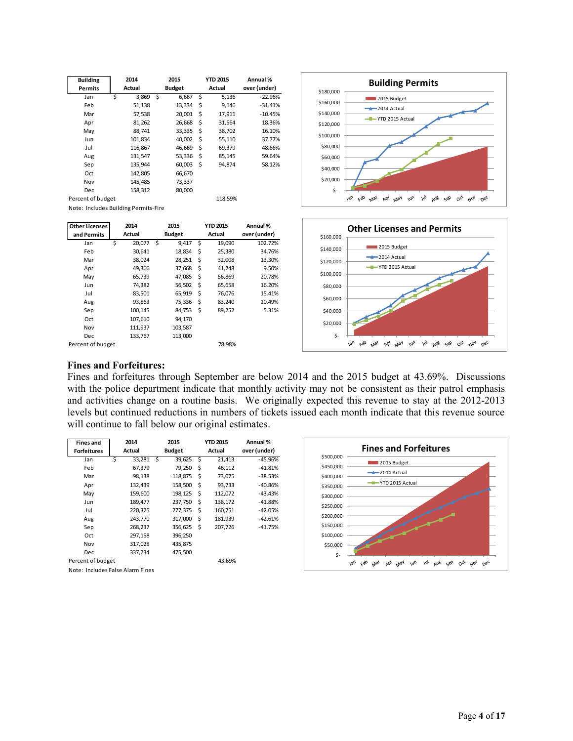| <b>Building</b>   | 2014        |   | 2015          |     | <b>YTD 2015</b> | Annual %     |
|-------------------|-------------|---|---------------|-----|-----------------|--------------|
| <b>Permits</b>    | Actual      |   | <b>Budget</b> |     | Actual          | over (under) |
| Jan               | \$<br>3,869 | Ś | 6.667         | Ś.  | 5,136           | $-22.96%$    |
| Feb               | 51,138      |   | 13,334        | \$  | 9,146           | $-31.41%$    |
| Mar               | 57,538      |   | 20,001        | \$  | 17,911          | $-10.45%$    |
| Apr               | 81,262      |   | 26,668        | \$  | 31,564          | 18.36%       |
| May               | 88.741      |   | 33,335        | \$  | 38,702          | 16.10%       |
| Jun               | 101,834     |   | 40,002        | -\$ | 55,110          | 37.77%       |
| Jul               | 116,867     |   | 46.669        | Ś   | 69,379          | 48.66%       |
| Aug               | 131,547     |   | 53,336        | \$  | 85,145          | 59.64%       |
| Sep               | 135,944     |   | 60,003        | \$  | 94,874          | 58.12%       |
| Oct               | 142,805     |   | 66,670        |     |                 |              |
| Nov               | 145,485     |   | 73,337        |     |                 |              |
| Dec               | 158,312     |   | 80,000        |     |                 |              |
| Percent of budget |             |   |               |     | 118.59%         |              |

Note: Includes Building Permits-Fire

| <b>Other Licenses</b> | 2014<br>Actual |         |   | 2015          |    | <b>YTD 2015</b> | Annual %     |
|-----------------------|----------------|---------|---|---------------|----|-----------------|--------------|
| and Permits           |                |         |   | <b>Budget</b> |    | Actual          | over (under) |
| Jan                   | \$             | 20,077  | Ś | 9.417         | \$ | 19,090          | 102.72%      |
| Feb                   |                | 30,641  |   | 18,834        | \$ | 25,380          | 34.76%       |
| Mar                   |                | 38,024  |   | 28,251        | \$ | 32,008          | 13.30%       |
| Apr                   |                | 49,366  |   | 37,668        | \$ | 41,248          | 9.50%        |
| May                   |                | 65,739  |   | 47,085        | \$ | 56,869          | 20.78%       |
| Jun                   |                | 74,382  |   | 56,502        | Ś  | 65,658          | 16.20%       |
| Jul                   |                | 83,501  |   | 65,919        | \$ | 76,076          | 15.41%       |
| Aug                   |                | 93,863  |   | 75,336        | \$ | 83,240          | 10.49%       |
| Sep                   |                | 100.145 |   | 84,753        | Ś  | 89,252          | 5.31%        |
| Oct                   |                | 107,610 |   | 94,170        |    |                 |              |
| Nov                   |                | 111,937 |   | 103,587       |    |                 |              |
| <b>Dec</b>            |                | 133,767 |   | 113,000       |    |                 |              |
| Percent of budget     |                |         |   |               |    | 78.98%          |              |





#### **Fines and Forfeitures:**

Fines and forfeitures through September are below 2014 and the 2015 budget at 43.69%. Discussions with the police department indicate that monthly activity may not be consistent as their patrol emphasis and activities change on a routine basis. We originally expected this revenue to stay at the 2012-2013 levels but continued reductions in numbers of tickets issued each month indicate that this revenue source will continue to fall below our original estimates.

| <b>Fines and</b>                 |   | 2014    | 2015          |     | <b>YTD 2015</b> | Annual %     |
|----------------------------------|---|---------|---------------|-----|-----------------|--------------|
| <b>Forfeitures</b>               |   | Actual  | <b>Budget</b> |     | Actual          | over (under) |
| Jan                              | Ś | 33,281  | \$<br>39,625  | -\$ | 21,413          | $-45.96%$    |
| Feb                              |   | 67,379  | 79,250        | \$  | 46,112          | $-41.81%$    |
| Mar                              |   | 98,138  | 118,875       | \$  | 73,075          | $-38.53%$    |
| Apr                              |   | 132,439 | 158,500       | \$  | 93,733          | $-40.86%$    |
| May                              |   | 159,600 | 198,125       | \$  | 112,072         | $-43.43%$    |
| Jun                              |   | 189,477 | 237,750       | Ś   | 138,172         | $-41.88%$    |
| Jul                              |   | 220,325 | 277,375       | \$  | 160,751         | $-42.05%$    |
| Aug                              |   | 243,770 | 317,000       | \$  | 181,939         | $-42.61%$    |
| Sep                              |   | 268,237 | 356,625       | Ŝ.  | 207,726         | $-41.75%$    |
| Oct                              |   | 297,158 | 396,250       |     |                 |              |
| Nov                              |   | 317,028 | 435,875       |     |                 |              |
| Dec                              |   | 337,734 | 475.500       |     |                 |              |
| Percent of budget                |   |         |               |     | 43.69%          |              |
| Note: Includes False Alarm Fines |   |         |               |     |                 |              |

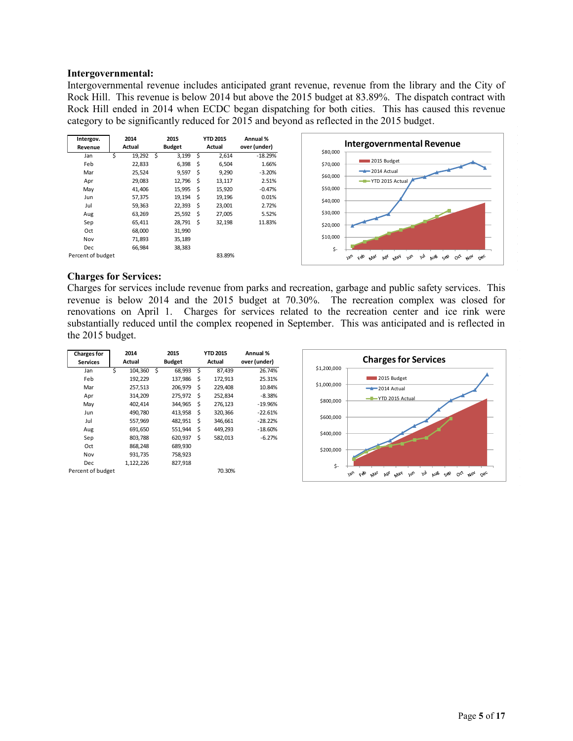### **Intergovernmental:**

Intergovernmental revenue includes anticipated grant revenue, revenue from the library and the City of Rock Hill. This revenue is below 2014 but above the 2015 budget at 83.89%. The dispatch contract with Rock Hill ended in 2014 when ECDC began dispatching for both cities. This has caused this revenue category to be significantly reduced for 2015 and beyond as reflected in the 2015 budget.



#### **Charges for Services:**

Charges for services include revenue from parks and recreation, garbage and public safety services. This revenue is below 2014 and the 2015 budget at 70.30%. The recreation complex was closed for renovations on April 1. Charges for services related to the recreation center and ice rink were substantially reduced until the complex reopened in September. This was anticipated and is reflected in the 2015 budget.

| <b>Charges for</b> | 2014 |           |     | 2015          | <b>YTD 2015</b> | Annual %     |             |                                                   |
|--------------------|------|-----------|-----|---------------|-----------------|--------------|-------------|---------------------------------------------------|
| <b>Services</b>    |      | Actual    |     | <b>Budget</b> | Actual          | over (under) |             | <b>Charges for</b>                                |
| Jan                | Ś.   | 104,360   | - Ś | 68,993 \$     | 87,439          | 26.74%       | \$1,200,000 |                                                   |
| Feb                |      | 192,229   |     | 137,986 \$    | 172,913         | 25.31%       |             | 2015 Budget                                       |
| Mar                |      | 257,513   |     | 206,979 \$    | 229,408         | 10.84%       | \$1,000,000 | $-2014$ Actual                                    |
| Apr                |      | 314,209   |     | 275,972 \$    | 252,834         | $-8.38%$     |             | -T-YTD 2015 Actu                                  |
| May                |      | 402,414   |     | 344,965 \$    | 276,123         | $-19.96%$    | \$800,000   |                                                   |
| Jun                |      | 490.780   |     | 413,958 \$    | 320,366         | $-22.61%$    |             |                                                   |
| Jul                |      | 557,969   |     | 482,951 \$    | 346.661         | $-28.22%$    | \$600,000   |                                                   |
| Aug                |      | 691,650   |     | 551,944 \$    | 449,293         | $-18.60%$    |             |                                                   |
| Sep                |      | 803,788   |     | 620,937 \$    | 582,013         | $-6.27%$     | \$400,000   |                                                   |
| Oct                |      | 868,248   |     | 689,930       |                 |              | \$200,000   |                                                   |
| Nov                |      | 931,735   |     | 758,923       |                 |              |             |                                                   |
| <b>Dec</b>         |      | 1,122,226 |     | 827,918       |                 |              | \$-         |                                                   |
| Percent of budget  |      |           |     |               | 70.30%          |              |             | cÒ<br><b>Van</b><br>AP <sup>K</sup><br>May<br>Mar |

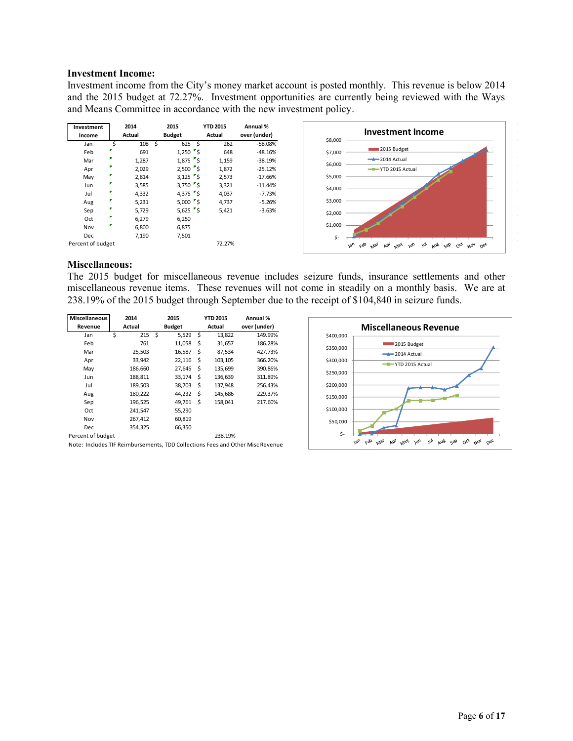#### **Investment Income:**

Investment income from the City's money market account is posted monthly. This revenue is below 2014 and the 2015 budget at 72.27%. Investment opportunities are currently being reviewed with the Ways and Means Committee in accordance with the new investment policy.

| Investment<br>Income |    | 2014<br>Actual | 2015<br><b>Budget</b> | <b>YTD 2015</b><br>Actual | Annual %<br>over (under) |
|----------------------|----|----------------|-----------------------|---------------------------|--------------------------|
| Jan                  | \$ | 108            | \$<br>625             | \$<br>262                 | $-58.08%$                |
| Feb                  |    | 691            | $1,250$ s             | 648                       | $-48.16%$                |
| Mar                  |    | 1,287          | $1,875$ \$            | 1,159                     | $-38.19%$                |
| Apr                  |    | 2,029          | $2,500$ $\sqrt{5}$    | 1,872                     | $-25.12%$                |
| May                  |    | 2,814          | $3,125$ $\sqrt{5}$    | 2,573                     | $-17.66%$                |
| Jun                  |    | 3,585          | $3,750$ $\sqrt{5}$    | 3,321                     | $-11.44%$                |
| Jul                  |    | 4,332          | 4,375 $\frac{1}{5}$   | 4,037                     | $-7.73%$                 |
| Aug                  |    | 5,231          | $5,000$ s             | 4,737                     | $-5.26%$                 |
| Sep                  | г  | 5,729          | 5,625 $\sqrt{5}$      | 5,421                     | $-3.63%$                 |
| Oct                  |    | 6,279          | 6,250                 |                           |                          |
| Nov                  |    | 6,800          | 6,875                 |                           |                          |
| <b>Dec</b>           |    | 7,190          | 7,501                 |                           |                          |
| Percent of budget    |    |                |                       | 72.27%                    |                          |



## **Miscellaneous:**

The 2015 budget for miscellaneous revenue includes seizure funds, insurance settlements and other miscellaneous revenue items. These revenues will not come in steadily on a monthly basis. We are at 238.19% of the 2015 budget through September due to the receipt of \$104,840 in seizure funds.

| Miscellaneous     | 2014     |   | 2015          |    | <b>YTD 2015</b> | Annual %     |
|-------------------|----------|---|---------------|----|-----------------|--------------|
| Revenue           | Actual   |   | <b>Budget</b> |    | Actual          | over (under) |
| Jan               | Ś<br>215 | Ś | 5,529         | Ś  | 13,822          | 149.99%      |
| Feb               | 761      |   | 11,058        | \$ | 31,657          | 186.28%      |
| Mar               | 25,503   |   | 16,587        | \$ | 87,534          | 427.73%      |
| Apr               | 33,942   |   | 22,116        | Ś  | 103,105         | 366.20%      |
| May               | 186,660  |   | 27,645        | \$ | 135,699         | 390.86%      |
| Jun               | 188,811  |   | 33,174        | \$ | 136,639         | 311.89%      |
| Jul               | 189,503  |   | 38,703        | \$ | 137,948         | 256.43%      |
| Aug               | 180,222  |   | 44,232        | \$ | 145,686         | 229.37%      |
| Sep               | 196,525  |   | 49,761        | Ś  | 158,041         | 217.60%      |
| Oct               | 241,547  |   | 55,290        |    |                 |              |
| Nov               | 267,412  |   | 60,819        |    |                 |              |
| Dec               | 354,325  |   | 66,350        |    |                 |              |
| Percent of budget |          |   |               |    | 238.19%         |              |
|                   |          |   |               |    |                 |              |



Note: Includes TIF Reimbursements, TDD Collections Fees and Other Misc Revenue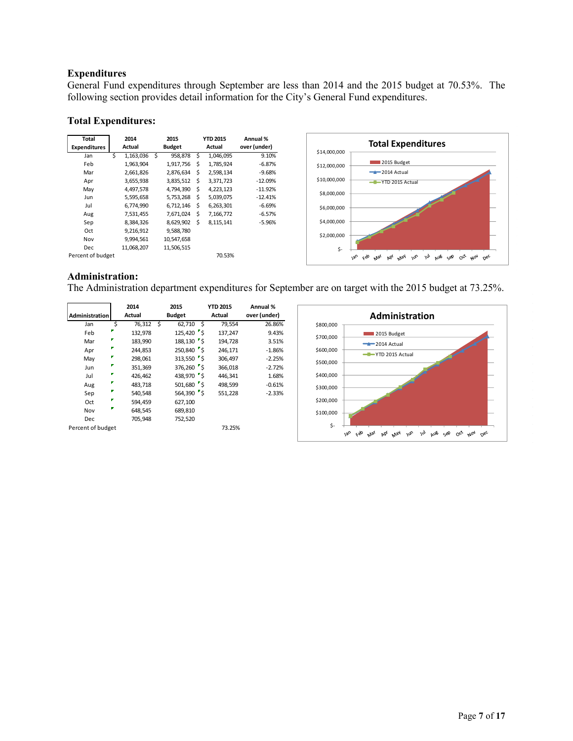# **Expenditures**

General Fund expenditures through September are less than 2014 and the 2015 budget at 70.53%. The following section provides detail information for the City's General Fund expenditures.

## **Total Expenditures:**

| Total               | 2014 |            |               | 2015       |        | <b>YTD 2015</b> | Annual %     |
|---------------------|------|------------|---------------|------------|--------|-----------------|--------------|
| <b>Expenditures</b> |      | Actual     | <b>Budget</b> |            | Actual |                 | over (under) |
| Jan                 | Ś    | 1,163,036  | Ś             | 958,878    | Ś      | 1,046,095       | 9.10%        |
| Feb                 |      | 1,963,904  |               | 1,917,756  | Ś      | 1,785,924       | $-6.87%$     |
| Mar                 |      | 2,661,826  |               | 2,876,634  | \$     | 2,598,134       | $-9.68%$     |
| Apr                 |      | 3,655,938  |               | 3,835,512  | Ś      | 3,371,723       | $-12.09%$    |
| May                 |      | 4,497,578  |               | 4,794,390  | \$     | 4,223,123       | $-11.92%$    |
| Jun                 |      | 5,595,658  |               | 5,753,268  | Ś      | 5,039,075       | $-12.41%$    |
| Jul                 |      | 6,774,990  |               | 6,712,146  | \$     | 6,263,301       | $-6.69%$     |
| Aug                 |      | 7,531,455  |               | 7,671,024  | Ś      | 7,166,772       | $-6.57%$     |
| Sep                 |      | 8,384,326  |               | 8,629,902  | Ś      | 8,115,141       | $-5.96%$     |
| Oct                 |      | 9,216,912  |               | 9,588,780  |        |                 |              |
| Nov                 |      | 9,994,561  |               | 10,547,658 |        |                 |              |
| Dec.                |      | 11,068,207 |               | 11.506.515 |        |                 |              |
| Percent of budget   |      |            |               |            |        | 70.53%          |              |



# **Administration:**

The Administration department expenditures for September are on target with the 2015 budget at 73.25%.

|                       |   | 2014    |    | 2015                 | <b>YTD 2015</b> | Annual %     |
|-----------------------|---|---------|----|----------------------|-----------------|--------------|
| <b>Administration</b> |   | Actual  |    | <b>Budget</b>        | Actual          | over (under) |
| Jan                   | Ś | 76,312  | Ś. | 62,710<br>Ś          | 79,554          | 26.86%       |
| Feb                   |   | 132,978 |    | $125,420$ $\sqrt{5}$ | 137,247         | 9.43%        |
| Mar                   |   | 183,990 |    | 188,130 \$           | 194,728         | 3.51%        |
| Apr                   | г | 244,853 |    | 250,840 \$           | 246,171         | $-1.86%$     |
| May                   |   | 298,061 |    | 313,550 \$           | 306,497         | $-2.25%$     |
| Jun                   | г | 351,369 |    | 376,260 \$           | 366,018         | $-2.72%$     |
| Jul                   | P | 426,462 |    | 438,970 \$           | 446,341         | 1.68%        |
| Aug                   |   | 483,718 |    | $501,680$ \$         | 498,599         | $-0.61%$     |
| Sep                   | P | 540,548 |    | $564,390$ \$         | 551,228         | $-2.33%$     |
| Oct                   |   | 594.459 |    | 627,100              |                 |              |
| Nov                   |   | 648,545 |    | 689,810              |                 |              |
| Dec                   |   | 705.948 |    | 752,520              |                 |              |
| Percent of budget     |   |         |    |                      | 73.25%          |              |

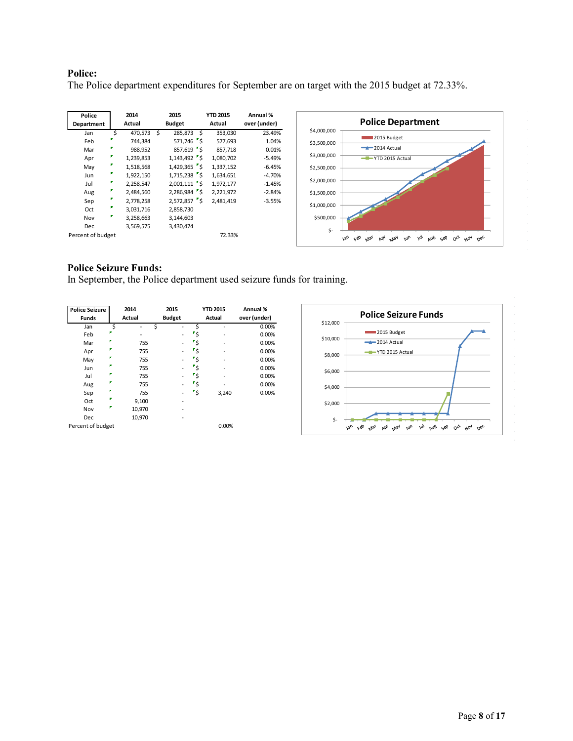# **Police:**

The Police department expenditures for September are on target with the 2015 budget at 72.33%.

| Police<br>Department | 2014<br>Actual |   | 2015<br><b>Budget</b> |   | <b>YTD 2015</b><br>Actual | Annual %<br>over (under) |
|----------------------|----------------|---|-----------------------|---|---------------------------|--------------------------|
| Jan                  | \$<br>470,573  | Ś | 285.873               | Ś | 353,030                   | 23.49%                   |
| Feb                  | 744.384        |   | 571,746 5             |   | 577.693                   | 1.04%                    |
| Mar                  | 988,952        |   | $857,619$ \$          |   | 857,718                   | 0.01%                    |
| Apr                  | 1,239,853      |   | $1,143,492$ \$        |   | 1,080,702                 | $-5.49%$                 |
| May                  | 1,518,568      |   | $1,429,365$ \$        |   | 1,337,152                 | $-6.45%$                 |
| Jun                  | 1,922,150      |   | $1,715,238$ 5         |   | 1.634.651                 | $-4.70%$                 |
| Jul                  | 2,258,547      |   | $2,001,111$ \$        |   | 1,972,177                 | $-1.45%$                 |
| Aug                  | 2,484,560      |   | 2,286,984 \$          |   | 2,221,972                 | $-2.84%$                 |
| Sep                  | 2,778,258      |   | $2,572,857$ S         |   | 2,481,419                 | $-3.55%$                 |
| Oct                  | 3,031,716      |   | 2,858,730             |   |                           |                          |
| Nov                  | 3,258,663      |   | 3,144,603             |   |                           |                          |
| <b>Dec</b>           | 3,569,575      |   | 3,430,474             |   |                           |                          |
| Percent of budget    |                |   |                       |   | 72.33%                    |                          |



# **Police Seizure Funds:**

In September, the Police department used seizure funds for training.

| <b>Police Seizure</b><br><b>Funds</b> |    | 2014<br>Actual |   | 2015<br><b>Budget</b> |     | <b>YTD 2015</b><br>Actual | Annual %<br>over (under) |
|---------------------------------------|----|----------------|---|-----------------------|-----|---------------------------|--------------------------|
| Jan                                   | \$ |                | Ś |                       | \$  |                           | 0.00%                    |
| Feb                                   |    |                |   |                       | ۳Ś  |                           | 0.00%                    |
| Mar                                   | Р  | 755            |   | -                     | ۳Ś  |                           | 0.00%                    |
| Apr                                   |    | 755            |   | -                     | ′\$ |                           | 0.00%                    |
| May                                   |    | 755            |   | -                     | ′\$ |                           | 0.00%                    |
| Jun                                   | F  | 755            |   |                       | ٣s  |                           | 0.00%                    |
| Jul                                   |    | 755            |   |                       | ۶'  |                           | 0.00%                    |
| Aug                                   | Г  | 755            |   | -                     | ٣s  |                           | 0.00%                    |
| Sep                                   |    | 755            |   | -                     | ′\$ | 3,240                     | 0.00%                    |
| Oct                                   | P  | 9,100          |   |                       |     |                           |                          |
| Nov                                   | P  | 10,970         |   |                       |     |                           |                          |
| Dec                                   |    | 10,970         |   |                       |     |                           |                          |
| Percent of budget                     |    |                |   |                       |     | 0.00%                     |                          |

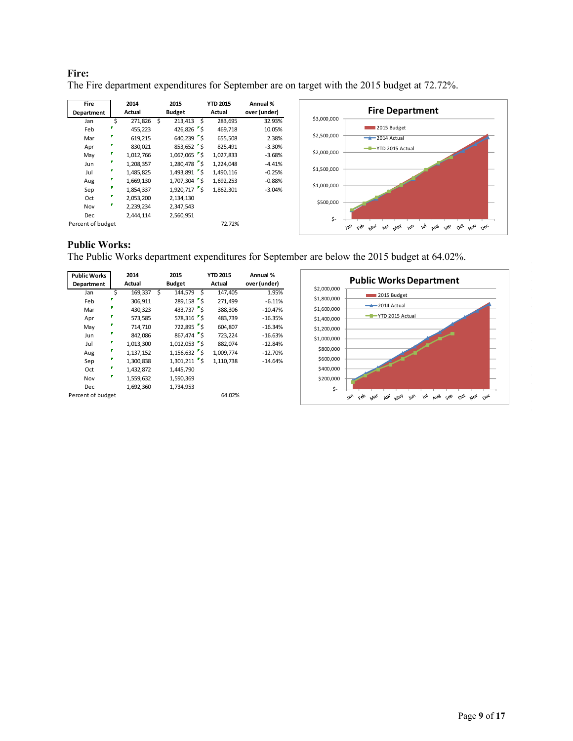# **Fire:**

The Fire department expenditures for September are on target with the 2015 budget at 72.72%.

| Fire<br>Department | 2014<br>Actual | 2015<br><b>Budget</b>                          | <b>YTD 2015</b><br>Actual | Annual %<br>over (under) |             | <b>Fire Department</b>                                                                                                                                                         |
|--------------------|----------------|------------------------------------------------|---------------------------|--------------------------|-------------|--------------------------------------------------------------------------------------------------------------------------------------------------------------------------------|
| Jan                | 271,826 \$     | 213,413<br>Ŝ.                                  | 283,695                   | 32.93%                   | \$3,000,000 |                                                                                                                                                                                |
| Feb                | 455,223        | 426,826 $\frac{1}{5}$                          | 469,718                   | 10.05%                   |             | 2015 Budget                                                                                                                                                                    |
| Mar                | 619,215        | $640,239$ $5$                                  | 655,508                   | 2.38%                    | \$2,500,000 | $-2014$ Actual                                                                                                                                                                 |
| Apr                | 830,021        | $853,652$ $\overline{\phantom{1}}\phantom{1}5$ | 825,491                   | $-3.30%$                 |             | -T-YTD 2015 Actual                                                                                                                                                             |
| May                | 1,012,766      | $1,067,065$ \$                                 | 1,027,833                 | $-3.68%$                 | \$2,000,000 |                                                                                                                                                                                |
| Jun                | 1,208,357      | 1,280,478 5                                    | 1,224,048                 | $-4.41%$                 |             |                                                                                                                                                                                |
| Jul                | 1,485,825      | 1,493,891 \$                                   | 1,490,116                 | $-0.25%$                 | \$1,500,000 |                                                                                                                                                                                |
| Aug                | 1,669,130      | $1,707,304$ 5                                  | 1,692,253                 | $-0.88%$                 |             |                                                                                                                                                                                |
| Sep                | 1,854,337      | 1,920,717 \$                                   | 1,862,301                 | $-3.04%$                 | \$1,000,000 |                                                                                                                                                                                |
| Oct                | 2,053,200      | 2,134,130                                      |                           |                          |             |                                                                                                                                                                                |
| Nov                | 2,239,234      | 2,347,543                                      |                           |                          | \$500,000   |                                                                                                                                                                                |
| <b>Dec</b>         | 2,444,114      | 2,560,951                                      |                           |                          |             |                                                                                                                                                                                |
| Percent of budget  |                |                                                | 72.72%                    |                          | \$-         | çèo<br>$\mu_{Oq}$<br>$v_{\varrho_U}$<br>w <sub>0</sub><br>$O_{C_{\mathcal{F}}}$<br>$M_{\alpha\gamma}$<br>w <sub>1</sub><br>AUB Sep<br>bb <sub>l</sub><br>nec<br>$M_{\text{2}}$ |

# **Public Works:**

The Public Works department expenditures for September are below the 2015 budget at 64.02%.

| <b>Public Works</b><br>Department | 2014<br>Actual |           | 2015<br><b>Budget</b> |                    | <b>YTD 2015</b><br>Actual | Annual %<br>over (under) |             | <b>Public Works Department</b>                                                                                                                                  |
|-----------------------------------|----------------|-----------|-----------------------|--------------------|---------------------------|--------------------------|-------------|-----------------------------------------------------------------------------------------------------------------------------------------------------------------|
| Jan                               |                | 169,337   | S                     | 144,579            | 147,405                   | 1.95%                    | \$2,000,000 | 2015 Budget                                                                                                                                                     |
| Feb                               |                | 306,911   |                       | $289,158$ \$       | 271,499                   | $-6.11%$                 | \$1,800,000 | $-2014$ Actual                                                                                                                                                  |
| Mar                               |                | 430,323   |                       | 433,737 $\sqrt{5}$ | 388,306                   | $-10.47%$                | \$1,600,000 |                                                                                                                                                                 |
| Apr                               |                | 573,585   |                       | $578,316$ \$       | 483,739                   | $-16.35%$                | \$1,400,000 | -T-YTD 2015 Actual                                                                                                                                              |
| May                               |                | 714,710   |                       | $722,895$ S        | 604,807                   | $-16.34%$                | \$1,200,000 |                                                                                                                                                                 |
| Jun                               |                | 842,086   |                       | $867,474$ S        | 723,224                   | $-16.63%$                | \$1,000,000 |                                                                                                                                                                 |
| Jul                               |                | 1,013,300 |                       | $1,012,053$ 5      | 882,074                   | $-12.84%$                |             |                                                                                                                                                                 |
| Aug                               | 1,137,152      |           |                       | $1,156,632$ s      | 1,009,774                 | $-12.70%$                | \$800,000   |                                                                                                                                                                 |
| Sep                               |                | 1,300,838 |                       | $1,301,211$ 5      | 1,110,738                 | $-14.64%$                | \$600,000   |                                                                                                                                                                 |
| Oct                               |                | 1,432,872 |                       | 1,445,790          |                           |                          | \$400,000   |                                                                                                                                                                 |
| Nov                               | 1,559,632      |           | 1,590,369             |                    |                           |                          | \$200,000   |                                                                                                                                                                 |
| <b>Dec</b>                        |                | 1,692,360 | 1,734,953             |                    |                           |                          | \$-         |                                                                                                                                                                 |
| Percent of budget                 |                |           |                       |                    | 64.02%                    |                          |             | $O_{C_{\mathcal{F}}}$<br>$\omega$<br>May<br>$A_{0q}$<br>Feb<br>w <sub>b</sub><br>alla<br>$v_{\text{v}}$<br>Sep<br>$0e^{\mathcal{C}}$<br>Þδί<br>$\gamma_{y_{2}}$ |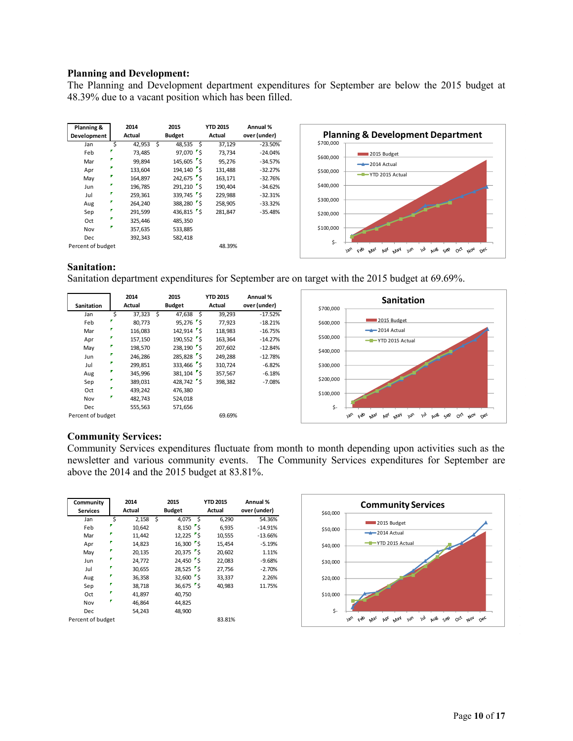### **Planning and Development:**

The Planning and Development department expenditures for September are below the 2015 budget at 48.39% due to a vacant position which has been filled.

| Planning &        |    | 2014          |   | 2015          | <b>YTD 2015</b> | Annual %     |
|-------------------|----|---------------|---|---------------|-----------------|--------------|
| Development       |    | <b>Actual</b> |   | <b>Budget</b> | Actual          | over (under) |
| Jan               | \$ | 42,953        | Ś | \$<br>48,535  | 37,129          | $-23.50%$    |
| Feb               |    | 73.485        |   | 97,070 5      | 73,734          | $-24.04%$    |
| Mar               | г  | 99,894        |   | 145,605 \$    | 95,276          | $-34.57%$    |
| Apr               |    | 133,604       |   | 194.140 S     | 131,488         | $-32.27%$    |
| May               |    | 164,897       |   | 242,675 \$    | 163,171         | $-32.76%$    |
| Jun               |    | 196.785       |   | 291,210 \$    | 190.404         | $-34.62%$    |
| Jul               |    | 259.361       |   | 339,745 \$    | 229,988         | $-32.31%$    |
| Aug               |    | 264.240       |   | 388,280 \$    | 258,905         | $-33.32%$    |
| Sep               | г  | 291,599       |   | 436,815 \$    | 281.847         | $-35.48%$    |
| Oct               | г  | 325,446       |   | 485,350       |                 |              |
| Nov               | г  | 357,635       |   | 533,885       |                 |              |
| Dec.              |    | 392,343       |   | 582,418       |                 |              |
| Percent of budget |    |               |   |               | 48.39%          |              |



# **Sanitation:**

Sanitation department expenditures for September are on target with the 2015 budget at 69.69%.

|                   |   | 2014    |   | 2015                  |    | <b>YTD 2015</b> | Annual %     |
|-------------------|---|---------|---|-----------------------|----|-----------------|--------------|
| <b>Sanitation</b> |   | Actual  |   | <b>Budget</b>         |    | Actual          | over (under) |
| Jan               | Ś | 37,323  | Ś | 47,638                | s. | 39,293          | $-17.52%$    |
| Feb               |   | 80.773  |   | $95,276$ $\sqrt{5}$   |    | 77.923          | $-18.21%$    |
| Mar               |   | 116,083 |   | $142,914$ 5           |    | 118,983         | $-16.75%$    |
| Apr               |   | 157,150 |   | $190,552$ 5           |    | 163.364         | $-14.27%$    |
| May               |   | 198.570 |   | 238,190 \$            |    | 207.602         | $-12.84%$    |
| Jun               |   | 246,286 |   | 285,828 \$            |    | 249,288         | $-12.78%$    |
| Jul               |   | 299,851 |   | 333,466 \$            |    | 310,724         | $-6.82%$     |
| Aug               |   | 345.996 |   | 381,104 5             |    | 357.567         | $-6.18%$     |
| Sep               |   | 389.031 |   | 428,742 $\frac{1}{5}$ |    | 398,382         | $-7.08%$     |
| Oct               |   | 439,242 |   | 476,380               |    |                 |              |
| Nov               |   | 482,743 |   | 524,018               |    |                 |              |
| Dec               |   | 555,563 |   | 571,656               |    |                 |              |
| Percent of budget |   |         |   |                       |    | 69.69%          |              |



# **Community Services:**

Community Services expenditures fluctuate from month to month depending upon activities such as the newsletter and various community events. The Community Services expenditures for September are above the 2014 and the 2015 budget at 83.81%.

| Community<br><b>Services</b> |    | 2014<br>Actual |      | 2015<br><b>Budget</b> |     | <b>YTD 2015</b><br>Actual | Annual %<br>over (under) |
|------------------------------|----|----------------|------|-----------------------|-----|---------------------------|--------------------------|
| Jan                          | \$ | 2,158          | - \$ | 4,075                 | - Ś | 6,290                     | 54.36%                   |
| Feb                          |    | 10,642         |      | $8,150$ $\sqrt{5}$    |     | 6,935                     | $-14.91%$                |
| Mar                          | σ  | 11,442         |      | $12,225$ S            |     | 10,555                    | $-13.66%$                |
| Apr                          |    | 14,823         |      | $16,300$ \$           |     | 15,454                    | $-5.19%$                 |
| May                          | г  | 20,135         |      | $20,375$ \$           |     | 20,602                    | 1.11%                    |
| Jun                          | Г  | 24,772         |      | $24,450$ $\sqrt{5}$   |     | 22,083                    | $-9.68%$                 |
| Jul                          | Γ  | 30,655         |      | $28,525$ s            |     | 27,756                    | $-2.70%$                 |
| Aug                          |    | 36,358         |      | $32,600$ s            |     | 33,337                    | 2.26%                    |
| Sep                          |    | 38,718         |      | $36,675$ \$           |     | 40,983                    | 11.75%                   |
| Oct                          | σ  | 41,897         |      | 40,750                |     |                           |                          |
| Nov                          |    | 46,864         |      | 44,825                |     |                           |                          |
| Dec                          |    | 54,243         |      | 48,900                |     |                           |                          |
| Percent of budget            |    |                |      |                       |     | 83.81%                    |                          |

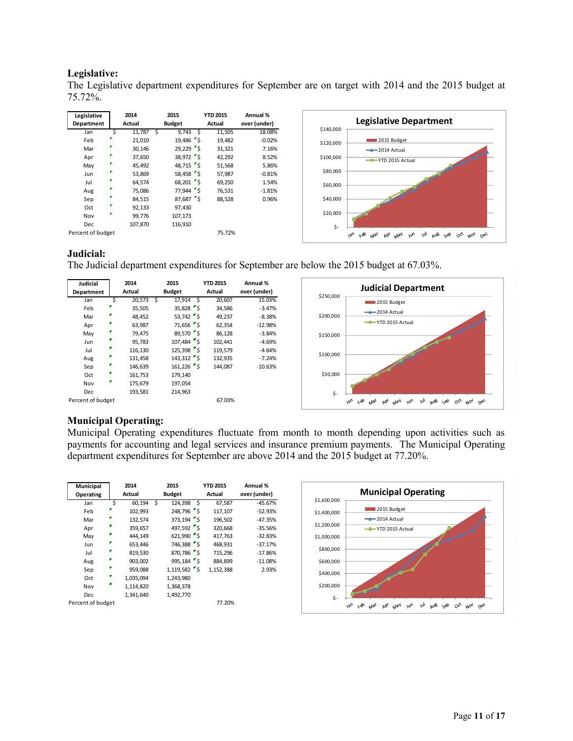# **Legislative:**

The Legislative department expenditures for September are on target with 2014 and the 2015 budget at 75.72%.

| Legislative<br>Department |    | 2014<br>Actual |   | 2015<br><b>Budget</b>            | <b>YTD 2015</b><br>Actual | Annual %<br>over (under) |
|---------------------------|----|----------------|---|----------------------------------|---------------------------|--------------------------|
| Jan                       | \$ | 11,787         | Ś | 9,743<br>- Ś                     | 11,505                    | 18.08%                   |
| Feb                       |    | 21,010         |   | 19,486 \$                        | 19,482                    | $-0.02%$                 |
| Mar                       |    | 30,146         |   | $29,229$ s                       | 31,321                    | 7.16%                    |
| Apr                       |    | 37,650         |   | 38.972 S                         | 42,292                    | 8.52%                    |
| May                       |    | 45.492         |   | 48.715 S                         | 51,568                    | 5.86%                    |
| Jun                       |    | 53,869         |   | $58,458$ \$                      | 57,987                    | $-0.81%$                 |
| Jul                       |    | 64.574         |   | $68,201$ \$                      | 69,250                    | 1.54%                    |
| Aug                       |    | 75,086         |   | $77,944$ \$                      | 76,531                    | $-1.81%$                 |
| Sep                       | r  | 84.515         |   | $87,687$ $\sqrt{\phantom{1}}$ \$ | 88,528                    | 0.96%                    |
| Oct                       |    | 92.133         |   | 97.430                           |                           |                          |
| Nov                       | v  | 99,776         |   | 107,173                          |                           |                          |
| Dec                       |    | 107.870        |   | 116,910                          |                           |                          |
| Percent of budget         |    |                |   |                                  | 75.72%                    |                          |



# **Judicial:**

The Judicial department expenditures for September are below the 2015 budget at 67.03%.



# **Municipal Operating:**

Municipal Operating expenditures fluctuate from month to month depending upon activities such as payments for accounting and legal services and insurance premium payments. The Municipal Operating department expenditures for September are above 2014 and the 2015 budget at 77.20%.

| Municipal<br>Operating |    | 2014<br>Actual |   | 2015<br><b>Budget</b> |     | <b>YTD 2015</b><br>Actual | Annual %<br>over (under) |
|------------------------|----|----------------|---|-----------------------|-----|---------------------------|--------------------------|
| Jan                    | \$ | 60,194         | Ś | 124,398               | - Ś | 67,587                    | $-45.67%$                |
|                        |    |                |   |                       |     |                           |                          |
| Feb                    |    | 102,993        |   | 248,796 5             |     | 117,107                   | $-52.93%$                |
| Mar                    |    | 132,574        |   | 373,194 \$            |     | 196,502                   | $-47.35%$                |
| Apr                    |    | 359,657        |   | 497.592 S             |     | 320,668                   | $-35.56%$                |
| May                    |    | 444.149        |   | $621.990$ S           |     | 417.763                   | $-32.83%$                |
| Jun                    |    | 653,446        |   | 746,388 \$            |     | 468,931                   | $-37.17%$                |
| Jul                    | Г  | 819,530        |   | 870,786 \$            |     | 715,296                   | $-17.86%$                |
| Aug                    |    | 903,002        |   | 995,184 5             |     | 884.899                   | $-11.08%$                |
| Sep                    |    | 959,088        |   | $1,119,582$ s         |     | 1,152,388                 | 2.93%                    |
| Oct                    |    | 1,035,094      |   | 1,243,980             |     |                           |                          |
| Nov                    | Г  | 1,114,820      |   | 1,368,378             |     |                           |                          |
| <b>Dec</b>             |    | 1,341,640      |   | 1,492,770             |     |                           |                          |
| Percent of budget      |    |                |   |                       |     | 77.20%                    |                          |

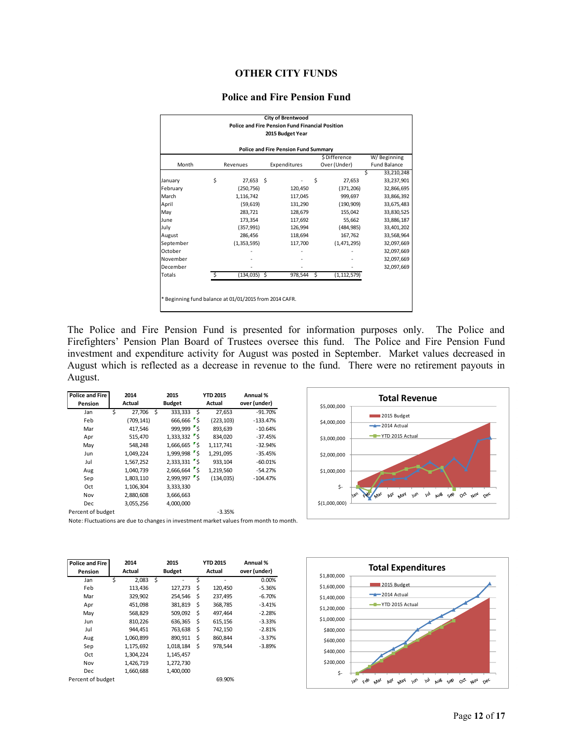# **OTHER CITY FUNDS**

#### **Police and Fire Pension Fund**

|               |                       |    | <b>City of Brentwood</b>                               |    |               |   |                     |
|---------------|-----------------------|----|--------------------------------------------------------|----|---------------|---|---------------------|
|               |                       |    | <b>Police and Fire Pension Fund Financial Position</b> |    |               |   |                     |
|               |                       |    | 2015 Budget Year                                       |    |               |   |                     |
|               |                       |    | <b>Police and Fire Pension Fund Summary</b>            |    |               |   |                     |
|               |                       |    |                                                        |    | \$Difference  |   | W/Beginning         |
| Month         | Revenues              |    | Expenditures                                           |    | Over (Under)  |   | <b>Fund Balance</b> |
|               |                       |    |                                                        |    |               | Ś | 33,210,248          |
| January       | \$<br>27,653          | Ś. |                                                        | Ś  | 27,653        |   | 33,237,901          |
| February      | (250, 756)            |    | 120,450                                                |    | (371, 206)    |   | 32,866,695          |
| March         | 1,116,742             |    | 117,045                                                |    | 999,697       |   | 33,866,392          |
| April         | (59, 619)             |    | 131,290                                                |    | (190, 909)    |   | 33,675,483          |
| May           | 283,721               |    | 128,679                                                |    | 155,042       |   | 33,830,525          |
| June          | 173.354               |    | 117,692                                                |    | 55,662        |   | 33,886,187          |
| July          | (357, 991)            |    | 126,994                                                |    | (484, 985)    |   | 33,401,202          |
| August        | 286,456               |    | 118,694                                                |    | 167,762       |   | 33,568,964          |
| September     | (1, 353, 595)         |    | 117,700                                                |    | (1,471,295)   |   | 32,097,669          |
| October       |                       |    |                                                        |    |               |   | 32,097,669          |
| November      |                       |    |                                                        |    |               |   | 32,097,669          |
| December      |                       |    |                                                        |    |               |   | 32,097,669          |
| <b>Totals</b> | \$<br>$(134, 035)$ \$ |    | 978,544                                                | \$ | (1, 112, 579) |   |                     |
|               |                       |    |                                                        |    |               |   |                     |

The Police and Fire Pension Fund is presented for information purposes only. The Police and Firefighters' Pension Plan Board of Trustees oversee this fund. The Police and Fire Pension Fund investment and expenditure activity for August was posted in September. Market values decreased in August which is reflected as a decrease in revenue to the fund. There were no retirement payouts in August.

| <b>Police and Fire</b>                                                                 | 2014        |     | 2015                   | <b>YTD 2015</b> | Annual %     |
|----------------------------------------------------------------------------------------|-------------|-----|------------------------|-----------------|--------------|
| Pension                                                                                | Actual      |     | <b>Budget</b>          | Actual          | over (under) |
| Jan                                                                                    | Ś<br>27,706 | - Ś | 333,333<br>- Ś         | 27,653          | $-91.70%$    |
| Feb                                                                                    | (709, 141)  |     | 666,666 \$             | (223, 103)      | $-133.47%$   |
| Mar                                                                                    | 417.546     |     | 999,999 \$             | 893,639         | $-10.64%$    |
| Apr                                                                                    | 515,470     |     | $1,333,332$ \$         | 834,020         | $-37.45%$    |
| May                                                                                    | 548,248     |     | 1,666,665 \$           | 1,117,741       | $-32.94%$    |
| Jun                                                                                    | 1,049,224   |     | 1,999,998 \$           | 1,291,095       | $-35.45%$    |
| Jul                                                                                    | 1,567,252   |     | $2,333,331$ $\sqrt{5}$ | 933,104         | $-60.01%$    |
| Aug                                                                                    | 1,040,739   |     | 2,666,664 \$           | 1,219,560       | $-54.27%$    |
| Sep                                                                                    | 1,803,110   |     | 2,999,997 \$           | (134.035)       | $-104.47%$   |
| Oct                                                                                    | 1,106,304   |     | 3,333,330              |                 |              |
| Nov                                                                                    | 2,880,608   |     | 3,666,663              |                 |              |
| <b>Dec</b>                                                                             | 3,055,256   |     | 4,000,000              |                 |              |
| Percent of budget                                                                      |             |     |                        | $-3.35%$        |              |
| Note: Fluctuations are due to changes in investment market values from month to month. |             |     |                        |                 |              |



| <b>Police and Fire</b> |   | 2014      |   | 2015          | <b>YTD 2015</b> |         | Annual %     |
|------------------------|---|-----------|---|---------------|-----------------|---------|--------------|
| Pension                |   | Actual    |   | <b>Budget</b> |                 | Actual  | over (under) |
| Jan                    | Ś | 2.083     | Ś |               | Ś               |         | 0.00%        |
| Feb                    |   | 113,436   |   | 127,273       | \$              | 120,450 | $-5.36%$     |
| Mar                    |   | 329,902   |   | 254.546       | \$              | 237,495 | $-6.70%$     |
| Apr                    |   | 451.098   |   | 381,819       | \$              | 368,785 | $-3.41%$     |
| May                    |   | 568,829   |   | 509,092       | \$              | 497,464 | $-2.28%$     |
| Jun                    |   | 810,226   |   | 636,365       | \$              | 615,156 | $-3.33%$     |
| Jul                    |   | 944.451   |   | 763,638       | \$              | 742,150 | $-2.81%$     |
| Aug                    |   | 1,060,899 |   | 890,911       | \$              | 860,844 | $-3.37%$     |
| Sep                    |   | 1,175,692 |   | 1,018,184     | \$              | 978.544 | $-3.89%$     |
| Oct                    |   | 1,304,224 |   | 1,145,457     |                 |         |              |
| Nov                    |   | 1,426,719 |   | 1,272,730     |                 |         |              |
| Dec                    |   | 1,660,688 |   | 1,400,000     |                 |         |              |
| Percent of budget      |   |           |   |               |                 | 69.90%  |              |

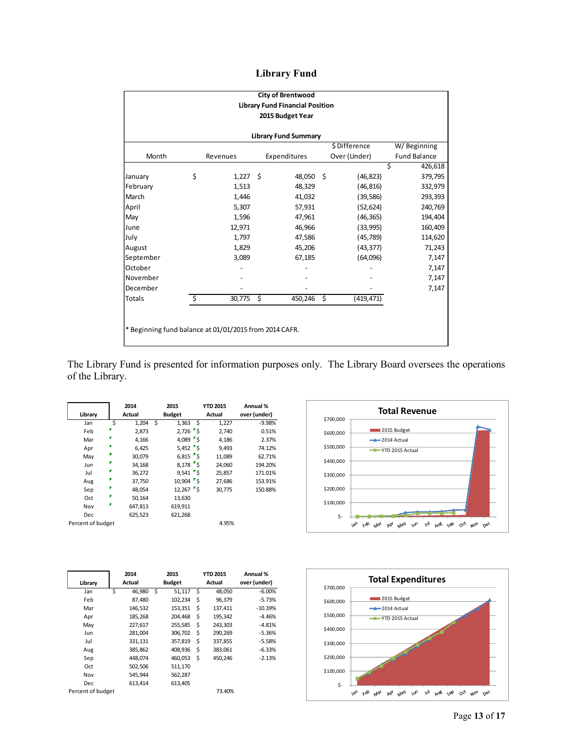| <b>Library Fund</b> |  |
|---------------------|--|
|---------------------|--|

| <b>City of Brentwood</b>                               |    |          |    |                                        |    |              |   |                     |  |  |  |
|--------------------------------------------------------|----|----------|----|----------------------------------------|----|--------------|---|---------------------|--|--|--|
|                                                        |    |          |    | <b>Library Fund Financial Position</b> |    |              |   |                     |  |  |  |
| 2015 Budget Year                                       |    |          |    |                                        |    |              |   |                     |  |  |  |
| <b>Library Fund Summary</b>                            |    |          |    |                                        |    |              |   |                     |  |  |  |
| \$Difference<br>W/Beginning                            |    |          |    |                                        |    |              |   |                     |  |  |  |
| Month                                                  |    | Revenues |    | Expenditures                           |    | Over (Under) |   | <b>Fund Balance</b> |  |  |  |
|                                                        |    |          |    |                                        |    |              | Ś | 426,618             |  |  |  |
| January                                                | \$ | 1,227    | Ŝ. | 48,050 \$                              |    | (46, 823)    |   | 379,795             |  |  |  |
| February                                               |    | 1,513    |    | 48,329                                 |    | (46, 816)    |   | 332,979             |  |  |  |
| March                                                  |    | 1,446    |    | 41,032                                 |    | (39, 586)    |   | 293,393             |  |  |  |
| April                                                  |    | 5,307    |    | 57,931                                 |    | (52, 624)    |   | 240,769             |  |  |  |
| May                                                    |    | 1,596    |    | 47,961                                 |    | (46, 365)    |   | 194,404             |  |  |  |
| June                                                   |    | 12,971   |    | 46,966                                 |    | (33,995)     |   | 160,409             |  |  |  |
| July                                                   |    | 1,797    |    | 47,586                                 |    | (45, 789)    |   | 114,620             |  |  |  |
| August                                                 |    | 1,829    |    | 45,206                                 |    | (43, 377)    |   | 71,243              |  |  |  |
| September                                              |    | 3,089    |    | 67,185                                 |    | (64,096)     |   | 7,147               |  |  |  |
| October                                                |    |          |    |                                        |    |              |   | 7,147               |  |  |  |
| November                                               |    |          |    |                                        |    |              |   | 7,147               |  |  |  |
| December                                               |    |          |    |                                        |    |              |   | 7,147               |  |  |  |
| <b>Totals</b>                                          | Ś  | 30,775   | \$ | 450,246                                | \$ | (419, 471)   |   |                     |  |  |  |
|                                                        |    |          |    |                                        |    |              |   |                     |  |  |  |
|                                                        |    |          |    |                                        |    |              |   |                     |  |  |  |
| * Beginning fund balance at 01/01/2015 from 2014 CAFR. |    |          |    |                                        |    |              |   |                     |  |  |  |
|                                                        |    |          |    |                                        |    |              |   |                     |  |  |  |

The Library Fund is presented for information purposes only. The Library Board oversees the operations of the Library.

|                   |        | 2014    |   | 2015                | <b>YTD 2015</b> | Annual %     |
|-------------------|--------|---------|---|---------------------|-----------------|--------------|
| Library           | Actual |         |   | <b>Budget</b>       | Actual          | over (under) |
| Jan               | \$     | 1,204   | Ś | - Ś<br>1,363        | 1,227           | $-9.98%$     |
| Feb               |        | 2,873   |   | $2,726$ $\sqrt{5}$  | 2,740           | 0.51%        |
| Mar               |        | 4,166   |   | 4,089 $\frac{1}{5}$ | 4,186           | 2.37%        |
| Apr               |        | 6.425   |   | $5,452$ $S$         | 9.493           | 74.12%       |
| May               |        | 30,079  |   | $6,815$ $\sqrt{5}$  | 11,089          | 62.71%       |
| Jun               |        | 34,168  |   | $8,178$ $\sqrt{5}$  | 24,060          | 194.20%      |
| Jul               |        | 36,272  |   | $9,541$ \$          | 25,857          | 171.01%      |
| Aug               |        | 37,750  |   | $10,904$ \$         | 27,686          | 153.91%      |
| Sep               |        | 48,054  |   | $12,267$ $\sqrt{5}$ | 30.775          | 150.88%      |
| Oct               |        | 50,164  |   | 13,630              |                 |              |
| Nov               |        | 647,813 |   | 619,911             |                 |              |
| Dec               |        | 625,523 |   | 621,268             |                 |              |
| Percent of budget |        |         |   |                     | 4.95%           |              |

| \$700,000 |                    |
|-----------|--------------------|
| \$600,000 | 2015 Budget        |
|           | $-2014$ Actual     |
| \$500,000 | -T-YTD 2015 Actual |
| \$400,000 |                    |
| \$300,000 |                    |
| \$200,000 |                    |
| \$100,000 |                    |
| \$-       |                    |

|                   |        | 2014    |   | 2015          |    | <b>YTD 2015</b> | Annual %     |
|-------------------|--------|---------|---|---------------|----|-----------------|--------------|
| Library           | Actual |         |   | <b>Budget</b> |    | Actual          | over (under) |
| Jan               | Ś      | 46.980  | Ś | 51.117        | Ś  | 48.050          | $-6.00%$     |
| Feb               |        | 87,480  |   | 102,234       | \$ | 96,379          | $-5.73%$     |
| Mar               |        | 146,532 |   | 153,351       | \$ | 137,411         | $-10.39%$    |
| Apr               |        | 185,268 |   | 204.468       | \$ | 195,342         | $-4.46%$     |
| May               |        | 227,617 |   | 255,585       | \$ | 243,303         | $-4.81%$     |
| Jun               |        | 281,004 |   | 306,702       | \$ | 290,269         | $-5.36%$     |
| Jul               |        | 331,131 |   | 357,819       | \$ | 337,855         | $-5.58%$     |
| Aug               |        | 385,862 |   | 408,936       | \$ | 383,061         | $-6.33%$     |
| Sep               |        | 448,074 |   | 460,053       | \$ | 450,246         | $-2.13%$     |
| Oct               |        | 502,506 |   | 511,170       |    |                 |              |
| Nov               |        | 545,944 |   | 562,287       |    |                 |              |
| <b>Dec</b>        |        | 613,414 |   | 613,405       |    |                 |              |
| Percent of budget |        |         |   |               |    | 73.40%          |              |

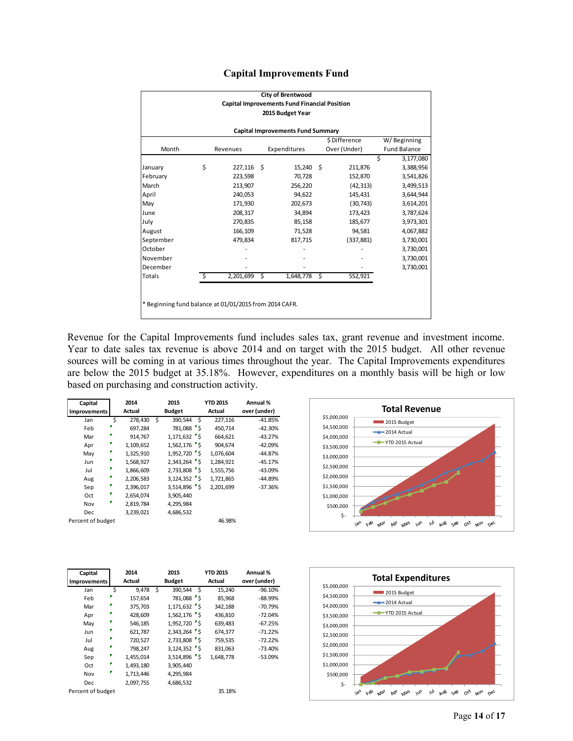|  | <b>Capital Improvements Fund</b> |  |  |
|--|----------------------------------|--|--|
|--|----------------------------------|--|--|

|                                                        | <b>City of Brentwood</b><br><b>Capital Improvements Fund Financial Position</b> |           |     |              |    |              |   |                     |  |  |  |  |
|--------------------------------------------------------|---------------------------------------------------------------------------------|-----------|-----|--------------|----|--------------|---|---------------------|--|--|--|--|
|                                                        | 2015 Budget Year                                                                |           |     |              |    |              |   |                     |  |  |  |  |
| <b>Capital Improvements Fund Summary</b>               |                                                                                 |           |     |              |    |              |   |                     |  |  |  |  |
| \$Difference<br>W/Beginning                            |                                                                                 |           |     |              |    |              |   |                     |  |  |  |  |
| Month                                                  |                                                                                 | Revenues  |     | Expenditures |    | Over (Under) |   | <b>Fund Balance</b> |  |  |  |  |
|                                                        |                                                                                 |           |     |              |    |              | Ś | 3,177,080           |  |  |  |  |
| January                                                | \$                                                                              | 227.116   | - Ś | $15,240$ \$  |    | 211,876      |   | 3,388,956           |  |  |  |  |
| February                                               |                                                                                 | 223,598   |     | 70,728       |    | 152,870      |   | 3,541,826           |  |  |  |  |
| March                                                  |                                                                                 | 213,907   |     | 256,220      |    | (42, 313)    |   | 3,499,513           |  |  |  |  |
| April                                                  |                                                                                 | 240,053   |     | 94,622       |    | 145,431      |   | 3,644,944           |  |  |  |  |
| May                                                    |                                                                                 | 171,930   |     | 202,673      |    | (30, 743)    |   | 3,614,201           |  |  |  |  |
| June                                                   |                                                                                 | 208,317   |     | 34,894       |    | 173,423      |   | 3,787,624           |  |  |  |  |
| July                                                   |                                                                                 | 270,835   |     | 85,158       |    | 185,677      |   | 3,973,301           |  |  |  |  |
| August                                                 |                                                                                 | 166,109   |     | 71,528       |    | 94,581       |   | 4,067,882           |  |  |  |  |
| September                                              |                                                                                 | 479,834   |     | 817,715      |    | (337, 881)   |   | 3,730,001           |  |  |  |  |
| October                                                |                                                                                 |           |     |              |    |              |   | 3,730,001           |  |  |  |  |
| November                                               |                                                                                 |           |     |              |    |              |   | 3,730,001           |  |  |  |  |
| December                                               |                                                                                 |           |     |              |    |              |   | 3,730,001           |  |  |  |  |
| Totals                                                 | \$                                                                              | 2,201,699 | \$  | 1,648,778    | \$ | 552,921      |   |                     |  |  |  |  |
|                                                        |                                                                                 |           |     |              |    |              |   |                     |  |  |  |  |
|                                                        |                                                                                 |           |     |              |    |              |   |                     |  |  |  |  |
| * Beginning fund balance at 01/01/2015 from 2014 CAFR. |                                                                                 |           |     |              |    |              |   |                     |  |  |  |  |
|                                                        |                                                                                 |           |     |              |    |              |   |                     |  |  |  |  |

Revenue for the Capital Improvements fund includes sales tax, grant revenue and investment income. Year to date sales tax revenue is above 2014 and on target with the 2015 budget. All other revenue sources will be coming in at various times throughout the year. The Capital Improvements expenditures are below the 2015 budget at 35.18%. However, expenditures on a monthly basis will be high or low based on purchasing and construction activity.

| Capital<br><b>Improvements</b> |   | 2014<br>Actual | 2015<br><b>Budget</b> |                | <b>YTD 2015</b><br>Actual | Annual %<br>over (under) |
|--------------------------------|---|----------------|-----------------------|----------------|---------------------------|--------------------------|
| Jan                            | Ś | 278,430        | Ś.                    | 390,544<br>- Ś | 227,116                   | $-41.85%$                |
| Feb                            |   | 697,284        |                       | 781,088 5      | 450,714                   | $-42.30%$                |
| Mar                            |   | 914,767        |                       | $1,171,632$ \$ | 664,621                   | $-43.27%$                |
| Apr                            |   | 1,109,652      |                       | $1,562,176$ \$ | 904.674                   | $-42.09%$                |
| May                            |   | 1,325,910      |                       | $1,952,720$ s  | 1,076,604                 | $-44.87%$                |
| Jun                            |   | 1,568,927      |                       | $2,343,264$ s  | 1.284.921                 | $-45.17%$                |
| Jul                            |   | 1,866,609      |                       | $2,733,808$ 5  | 1,555,756                 | $-43.09%$                |
| Aug                            |   | 2,206,583      |                       | $3,124,352$ s  | 1,721,865                 | $-44.89%$                |
| Sep                            |   | 2,396,017      |                       | $3,514,896$ 5  | 2,201,699                 | $-37.36%$                |
| Oct                            |   | 2,654,074      |                       | 3,905,440      |                           |                          |
| Nov                            |   | 2,819,784      |                       | 4,295,984      |                           |                          |
| Dec                            |   | 3,239,021      |                       | 4,686,532      |                           |                          |
| Percent of budget              |   |                |                       |                | 46.98%                    |                          |



| Capital           | 2014        |   | 2015           | <b>YTD 2015</b> |           | Annual %     |
|-------------------|-------------|---|----------------|-----------------|-----------|--------------|
| Improvements      | Actual      |   | <b>Budget</b>  |                 | Actual    | over (under) |
| Jan               | \$<br>9.478 | Ś | 390,544        | Ŝ               | 15,240    | $-96.10%$    |
| Feb               | 157,654     |   | 781,088 \$     |                 | 85,968    | $-88.99%$    |
| Mar               | 375,703     |   | $1,171,632$ \$ |                 | 342,188   | $-70.79%$    |
| Apr               | 428,609     |   | $1,562,176$ \$ |                 | 436,810   | $-72.04%$    |
| May               | 546,185     |   | 1,952,720 \$   |                 | 639,483   | $-67.25%$    |
| Jun               | 621,787     |   | 2,343,264 \$   |                 | 674,377   | $-71.22%$    |
| Jul               | 720,527     |   | 2,733,808 \$   |                 | 759,535   | $-72.22%$    |
| Aug               | 798,247     |   | $3,124,352$ \$ |                 | 831,063   | $-73.40%$    |
| Sep               | 1,455,014   |   | 3,514,896 \$   |                 | 1.648.778 | $-53.09%$    |
| Oct               | 1,493,180   |   | 3,905,440      |                 |           |              |
| Nov               | 1,713,446   |   | 4,295,984      |                 |           |              |
| Dec               | 2,097,755   |   | 4,686,532      |                 |           |              |
| Percent of budget |             |   |                |                 | 35.18%    |              |

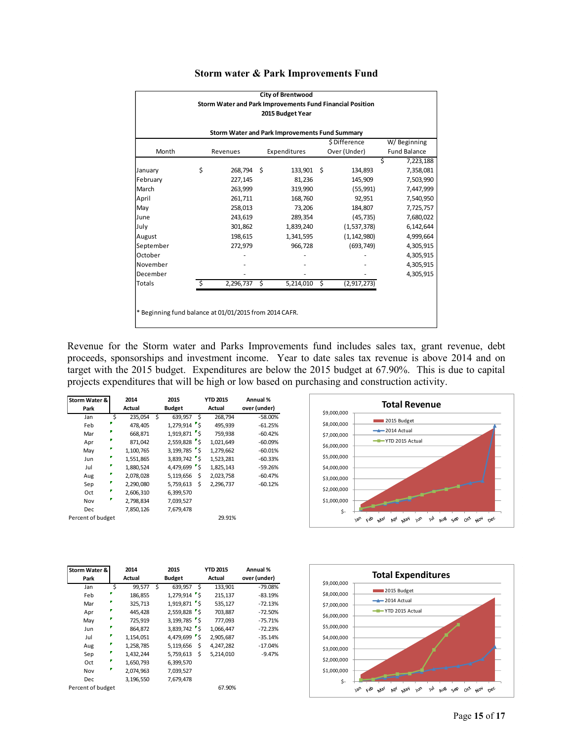| <b>City of Brentwood</b>                                  |    |            |   |                  |     |               |   |                     |  |  |  |
|-----------------------------------------------------------|----|------------|---|------------------|-----|---------------|---|---------------------|--|--|--|
| Storm Water and Park Improvements Fund Financial Position |    |            |   |                  |     |               |   |                     |  |  |  |
|                                                           |    |            |   | 2015 Budget Year |     |               |   |                     |  |  |  |
|                                                           |    |            |   |                  |     |               |   |                     |  |  |  |
| Storm Water and Park Improvements Fund Summary            |    |            |   |                  |     |               |   |                     |  |  |  |
| \$Difference<br>W/Beginning                               |    |            |   |                  |     |               |   |                     |  |  |  |
| Month                                                     |    | Revenues   |   | Expenditures     |     | Over (Under)  |   | <b>Fund Balance</b> |  |  |  |
|                                                           |    |            |   |                  |     |               | Ś | 7,223,188           |  |  |  |
| January                                                   | \$ | 268,794 \$ |   | 133,901          | - Ś | 134,893       |   | 7,358,081           |  |  |  |
| February                                                  |    | 227,145    |   | 81,236           |     | 145,909       |   | 7,503,990           |  |  |  |
| March                                                     |    | 263,999    |   | 319,990          |     | (55, 991)     |   | 7,447,999           |  |  |  |
| April                                                     |    | 261,711    |   | 168,760          |     | 92,951        |   | 7,540,950           |  |  |  |
| May                                                       |    | 258,013    |   | 73,206           |     | 184,807       |   | 7,725,757           |  |  |  |
| June                                                      |    | 243,619    |   | 289,354          |     | (45, 735)     |   | 7,680,022           |  |  |  |
| July                                                      |    | 301,862    |   | 1,839,240        |     | (1,537,378)   |   | 6,142,644           |  |  |  |
| August                                                    |    | 198,615    |   | 1,341,595        |     | (1, 142, 980) |   | 4,999,664           |  |  |  |
| September                                                 |    | 272,979    |   | 966,728          |     | (693, 749)    |   | 4,305,915           |  |  |  |
| October                                                   |    |            |   |                  |     |               |   | 4,305,915           |  |  |  |
| November                                                  |    |            |   |                  |     |               |   | 4,305,915           |  |  |  |
| December                                                  |    |            |   |                  |     |               |   | 4,305,915           |  |  |  |
| <b>Totals</b>                                             | Ś. | 2,296,737  | Ś | 5,214,010        | \$  | (2, 917, 273) |   |                     |  |  |  |
|                                                           |    |            |   |                  |     |               |   |                     |  |  |  |
|                                                           |    |            |   |                  |     |               |   |                     |  |  |  |
| * Beginning fund balance at 01/01/2015 from 2014 CAFR.    |    |            |   |                  |     |               |   |                     |  |  |  |
|                                                           |    |            |   |                  |     |               |   |                     |  |  |  |

## **Storm water & Park Improvements Fund**

Revenue for the Storm water and Parks Improvements fund includes sales tax, grant revenue, debt proceeds, sponsorships and investment income. Year to date sales tax revenue is above 2014 and on target with the 2015 budget. Expenditures are below the 2015 budget at 67.90%. This is due to capital projects expenditures that will be high or low based on purchasing and construction activity.

| Storm Water &     | 2014          |   | 2015           |      | <b>YTD 2015</b> | Annual %     |
|-------------------|---------------|---|----------------|------|-----------------|--------------|
| Park              | Actual        |   | <b>Budget</b>  |      | Actual          | over (under) |
| Jan               | \$<br>235,054 | Ś | 639,957        | - \$ | 268.794         | $-58.00%$    |
| Feb               | 478,405       |   | $1,279,914$ 5  |      | 495,939         | $-61.25%$    |
| Mar               | 668,871       |   | $1,919,871$ 5  |      | 759,938         | $-60.42%$    |
| Apr               | 871,042       |   | 2,559,828 5    |      | 1,021,649       | $-60.09%$    |
| May               | 1,100,765     |   | $3,199,785$ \$ |      | 1,279,662       | $-60.01%$    |
| Jun               | 1,551,865     |   | 3,839,742 \$   |      | 1,523,281       | $-60.33%$    |
| Jul               | 1,880,524     |   | 4,479,699 \$   |      | 1,825,143       | $-59.26%$    |
| Aug               | 2,078,028     |   | 5,119,656      | Ś    | 2,023,758       | $-60.47%$    |
| Sep               | 2,290,080     |   | 5,759,613      | Ś    | 2,296,737       | $-60.12%$    |
| Oct               | 2,606,310     |   | 6,399,570      |      |                 |              |
| Nov               | 2,798,834     |   | 7,039,527      |      |                 |              |
| Dec               | 7,850,126     |   | 7,679,478      |      |                 |              |
| Percent of budget |               |   |                |      | 29.91%          |              |



| Storm Water &     |   | 2014      |   | 2015           |    | <b>YTD 2015</b> | Annual %     |
|-------------------|---|-----------|---|----------------|----|-----------------|--------------|
| Park              |   | Actual    |   | <b>Budget</b>  |    | Actual          | over (under) |
| Jan               | Ś | 99,577    | Ś | 639,957        | Ś  | 133,901         | $-79.08%$    |
| Feb               |   | 186,855   |   | $1,279,914$ s  |    | 215,137         | $-83.19%$    |
| Mar               |   | 325,713   |   | $1.919.871$ S  |    | 535,127         | $-72.13%$    |
| Apr               |   | 445,428   |   | 2,559,828 \$   |    | 703,887         | $-72.50%$    |
| May               |   | 725,919   |   | $3,199,785$ \$ |    | 777,093         | $-75.71%$    |
| Jun               |   | 864,872   |   | 3,839,742 5    |    | 1,066,447       | $-72.23%$    |
| Jul               |   | 1,154,051 |   | 4,479,699 \$   |    | 2,905,687       | $-35.14%$    |
| Aug               |   | 1,258,785 |   | 5,119,656      | \$ | 4,247,282       | $-17.04%$    |
| Sep               |   | 1,432,244 |   | 5,759,613      | \$ | 5,214,010       | $-9.47%$     |
| Oct               |   | 1,650,793 |   | 6,399,570      |    |                 |              |
| Nov               |   | 2,074,963 |   | 7,039,527      |    |                 |              |
| Dec               |   | 3,196,550 |   | 7,679,478      |    |                 |              |
| Percent of budget |   |           |   |                |    | 67.90%          |              |

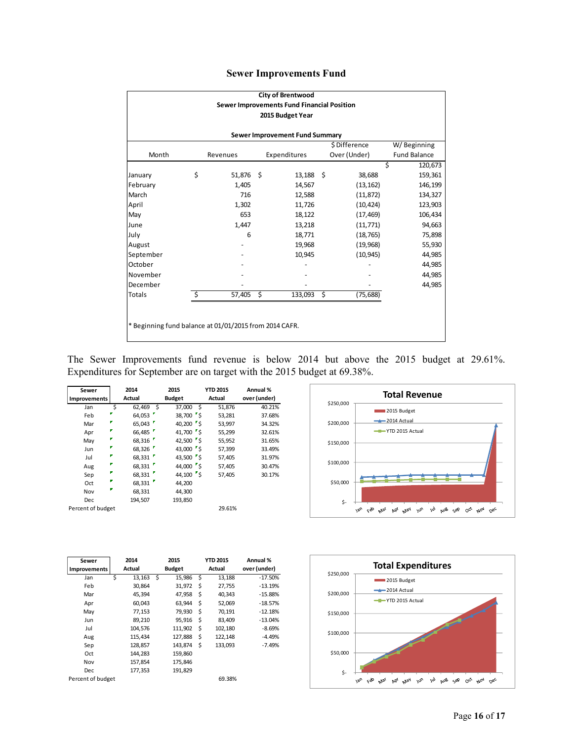|  |  |  | <b>Sewer Improvements Fund</b> |  |
|--|--|--|--------------------------------|--|
|--|--|--|--------------------------------|--|

| <b>City of Brentwood</b>                                       |    |             |  |              |                         |              |                     |  |  |
|----------------------------------------------------------------|----|-------------|--|--------------|-------------------------|--------------|---------------------|--|--|
| Sewer Improvements Fund Financial Position<br>2015 Budget Year |    |             |  |              |                         |              |                     |  |  |
|                                                                |    |             |  |              |                         |              |                     |  |  |
| Sewer Improvement Fund Summary                                 |    |             |  |              |                         |              |                     |  |  |
| \$Difference<br>W/Beginning                                    |    |             |  |              |                         |              |                     |  |  |
| Month                                                          |    | Revenues    |  | Expenditures |                         | Over (Under) | <b>Fund Balance</b> |  |  |
|                                                                |    |             |  |              |                         |              | Ŝ<br>120,673        |  |  |
| January                                                        | \$ | 51.876 \$   |  | $13,188$ \$  |                         | 38,688       | 159,361             |  |  |
| February                                                       |    | 1,405       |  | 14,567       |                         | (13, 162)    | 146,199             |  |  |
| March                                                          |    | 716         |  | 12,588       |                         | (11, 872)    | 134,327             |  |  |
| April                                                          |    | 1,302       |  | 11,726       |                         | (10, 424)    | 123,903             |  |  |
| May                                                            |    | 653         |  | 18,122       |                         | (17, 469)    | 106,434             |  |  |
| June                                                           |    | 1,447       |  | 13,218       |                         | (11, 771)    | 94,663              |  |  |
| July                                                           |    | 6           |  | 18,771       |                         | (18, 765)    | 75,898              |  |  |
| August                                                         |    |             |  | 19,968       |                         | (19,968)     | 55,930              |  |  |
| September                                                      |    |             |  | 10,945       |                         | (10, 945)    | 44,985              |  |  |
| October                                                        |    |             |  |              |                         |              | 44,985              |  |  |
| November                                                       |    |             |  |              |                         |              | 44,985              |  |  |
| December                                                       |    |             |  |              |                         |              | 44,985              |  |  |
| <b>Totals</b>                                                  | \$ | $57,405$ \$ |  | 133,093      | $\overline{\mathsf{S}}$ | (75, 688)    |                     |  |  |
|                                                                |    |             |  |              |                         |              |                     |  |  |
|                                                                |    |             |  |              |                         |              |                     |  |  |
| * Beginning fund balance at 01/01/2015 from 2014 CAFR.         |    |             |  |              |                         |              |                     |  |  |
|                                                                |    |             |  |              |                         |              |                     |  |  |

The Sewer Improvements fund revenue is below 2014 but above the 2015 budget at 29.61%. Expenditures for September are on target with the 2015 budget at 69.38%.

| Sewer<br>Improvements |   | 2014<br>Actual | 2015<br><b>Budget</b> |                                | <b>YTD 2015</b><br>Actual | Annual %<br>over (under) |
|-----------------------|---|----------------|-----------------------|--------------------------------|---------------------------|--------------------------|
| Jan                   | Ś | 62,469         | Ś<br>37,000           | - \$                           | 51,876                    | 40.21%                   |
| Feb                   |   | 64,053         |                       | 38,700 \$                      | 53,281                    | 37.68%                   |
| Mar                   |   | 65,043         |                       | 40,200 $\frac{1}{5}$           | 53,997                    | 34.32%                   |
| Apr                   |   | 66,485         |                       | 41,700 S                       | 55,299                    | 32.61%                   |
| May                   |   | 68,316         |                       | 42,500 $\sqrt{\phantom{a}}$ \$ | 55,952                    | 31.65%                   |
| Jun                   |   | 68,326         |                       | 43,000 $\sqrt{\phantom{a}}$ \$ | 57,399                    | 33.49%                   |
| Jul                   |   | 68,331         |                       | 43,500 $\sqrt{5}$              | 57,405                    | 31.97%                   |
| Aug                   |   | 68,331         |                       | 44,000 $\sqrt{\phantom{a}}$ \$ | 57,405                    | 30.47%                   |
| Sep                   |   | 68,331         |                       | 44,100 $\sqrt{\phantom{a}}$ \$ | 57,405                    | 30.17%                   |
| Oct                   |   | 68,331         | 44.200                |                                |                           |                          |
| Nov                   |   | 68,331         | 44.300                |                                |                           |                          |
| Dec                   |   | 194,507        | 193,850               |                                |                           |                          |
| Percent of budget     |   |                |                       |                                | 29.61%                    |                          |

| \$250,000 | <b>Total Revenue</b>                                                  |  |  |  |  |  |  |  |
|-----------|-----------------------------------------------------------------------|--|--|--|--|--|--|--|
|           | 2015 Budget                                                           |  |  |  |  |  |  |  |
| \$200,000 | $-2014$ Actual                                                        |  |  |  |  |  |  |  |
|           | - YTD 2015 Actual                                                     |  |  |  |  |  |  |  |
| \$150,000 |                                                                       |  |  |  |  |  |  |  |
| \$100,000 |                                                                       |  |  |  |  |  |  |  |
| \$50,000  |                                                                       |  |  |  |  |  |  |  |
| \$-       |                                                                       |  |  |  |  |  |  |  |
|           | jun jul puß sel Oct ploy<br>relo Mar<br>$\sqrt{2}n$<br>Apr May<br>Dec |  |  |  |  |  |  |  |

| Sewer             | 2014 |         | 2015 |               |     | <b>YTD 2015</b> | Annual %     |
|-------------------|------|---------|------|---------------|-----|-----------------|--------------|
| Improvements      |      | Actual  |      | <b>Budget</b> |     | Actual          | over (under) |
| Jan               | Ś    | 13,163  | Ś    | 15,986        | -\$ | 13,188          | $-17.50%$    |
| Feb               |      | 30,864  |      | 31,972        | Ś   | 27,755          | $-13.19%$    |
| Mar               |      | 45,394  |      | 47,958        | \$  | 40.343          | $-15.88%$    |
| Apr               |      | 60,043  |      | 63,944        | \$  | 52,069          | $-18.57%$    |
| May               |      | 77,153  |      | 79,930        | \$  | 70,191          | $-12.18%$    |
| Jun               |      | 89,210  |      | 95,916        | \$  | 83,409          | $-13.04%$    |
| Jul               |      | 104,576 |      | 111,902       | \$  | 102,180         | $-8.69%$     |
| Aug               |      | 115,434 |      | 127,888       | \$  | 122,148         | $-4.49%$     |
| Sep               |      | 128,857 |      | 143,874       | \$  | 133,093         | $-7.49%$     |
| Oct               |      | 144,283 |      | 159,860       |     |                 |              |
| Nov               |      | 157,854 |      | 175,846       |     |                 |              |
| Dec               |      | 177,353 |      | 191,829       |     |                 |              |
| Percent of budget |      |         |      |               |     | 69.38%          |              |